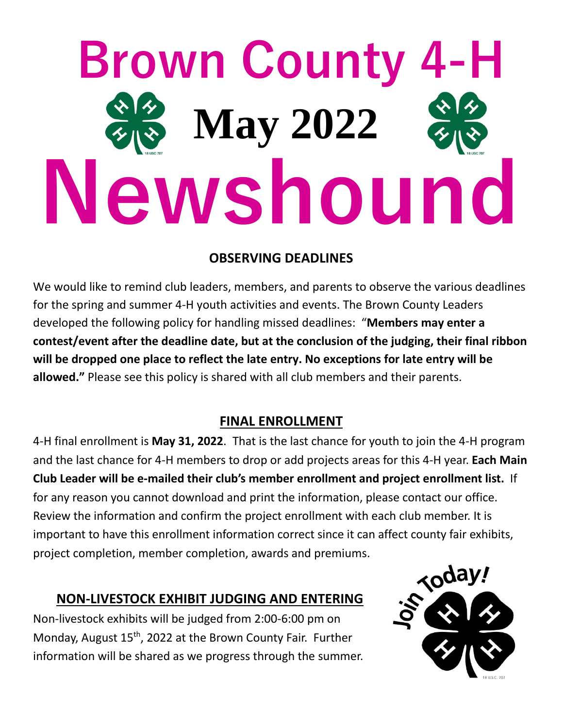# **Brown County 4-H Newshound May 2022**

## **OBSERVING DEADLINES**

We would like to remind club leaders, members, and parents to observe the various deadlines for the spring and summer 4-H youth activities and events. The Brown County Leaders developed the following policy for handling missed deadlines: "**Members may enter a contest/event after the deadline date, but at the conclusion of the judging, their final ribbon will be dropped one place to reflect the late entry. No exceptions for late entry will be allowed."** Please see this policy is shared with all club members and their parents.

### **FINAL ENROLLMENT**

4-H final enrollment is **May 31, 2022**. That is the last chance for youth to join the 4-H program and the last chance for 4-H members to drop or add projects areas for this 4-H year. **Each Main Club Leader will be e-mailed their club's member enrollment and project enrollment list.** If for any reason you cannot download and print the information, please contact our office. Review the information and confirm the project enrollment with each club member. It is important to have this enrollment information correct since it can affect county fair exhibits, project completion, member completion, awards and premiums.

### **NON-LIVESTOCK EXHIBIT JUDGING AND ENTERING**

Non-livestock exhibits will be judged from 2:00-6:00 pm on Monday, August 15<sup>th</sup>, 2022 at the Brown County Fair. Further information will be shared as we progress through the summer.

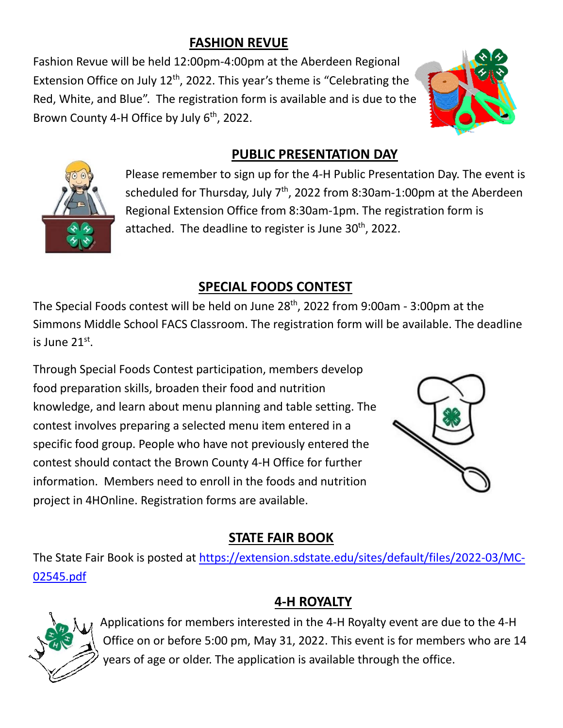## **FASHION REVUE**

Fashion Revue will be held 12:00pm-4:00pm at the Aberdeen Regional Extension Office on July  $12<sup>th</sup>$ , 2022. This year's theme is "Celebrating the Red, White, and Blue". The registration form is available and is due to the Brown County 4-H Office by July 6<sup>th</sup>, 2022.





## **PUBLIC PRESENTATION DAY**

Please remember to sign up for the 4-H Public Presentation Day. The event is scheduled for Thursday, July  $7<sup>th</sup>$ , 2022 from 8:30am-1:00pm at the Aberdeen Regional Extension Office from 8:30am-1pm. The registration form is attached.The deadline to register is June 30th, 2022.

## **SPECIAL FOODS CONTEST**

The Special Foods contest will be held on June 28<sup>th</sup>, 2022 from 9:00am - 3:00pm at the Simmons Middle School FACS Classroom. The registration form will be available. The deadline is June 21st.

Through Special Foods Contest participation, members develop food preparation skills, broaden their food and nutrition knowledge, and learn about menu planning and table setting. The contest involves preparing a selected menu item entered in a specific food group. People who have not previously entered the contest should contact the Brown County 4-H Office for further information. Members need to enroll in the foods and nutrition project in 4HOnline. Registration forms are available.



## **STATE FAIR BOOK**

The State Fair Book is posted at [https://extension.sdstate.edu/sites/default/files/2022-03/MC-](https://extension.sdstate.edu/sites/default/files/2022-03/MC-02545.pdf)[02545.pdf](https://extension.sdstate.edu/sites/default/files/2022-03/MC-02545.pdf)

## **4-H ROYALTY**



Applications for members interested in the 4-H Royalty event are due to the 4-H Office on or before 5:00 pm, May 31, 2022. This event is for members who are 14 years of age or older. The application is available through the office.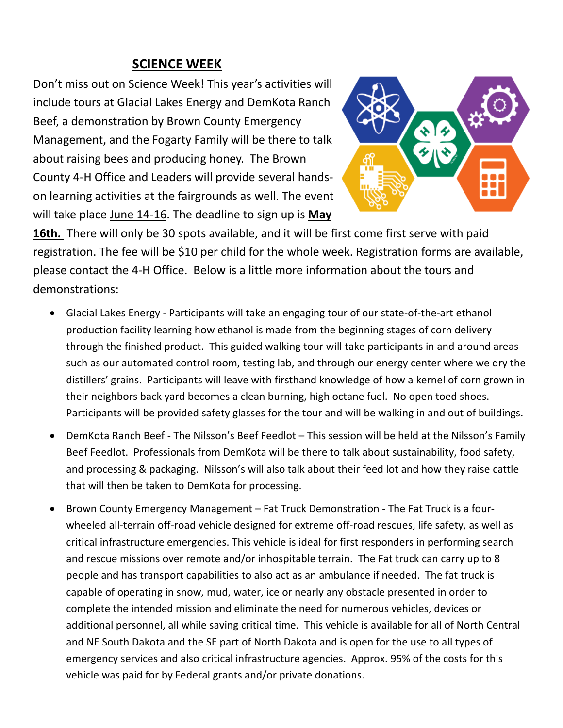#### **SCIENCE WEEK**

Don't miss out on Science Week! This year's activities will include tours at Glacial Lakes Energy and DemKota Ranch Beef, a demonstration by Brown County Emergency Management, and the Fogarty Family will be there to talk about raising bees and producing honey. The Brown County 4-H Office and Leaders will provide several handson learning activities at the fairgrounds as well. The event will take place June 14-16. The deadline to sign up is **May** 



**16th.** There will only be 30 spots available, and it will be first come first serve with paid registration. The fee will be \$10 per child for the whole week. Registration forms are available, please contact the 4-H Office. Below is a little more information about the tours and demonstrations:

- Glacial Lakes Energy Participants will take an engaging tour of our state-of-the-art ethanol production facility learning how ethanol is made from the beginning stages of corn delivery through the finished product. This guided walking tour will take participants in and around areas such as our automated control room, testing lab, and through our energy center where we dry the distillers' grains. Participants will leave with firsthand knowledge of how a kernel of corn grown in their neighbors back yard becomes a clean burning, high octane fuel. No open toed shoes. Participants will be provided safety glasses for the tour and will be walking in and out of buildings.
- DemKota Ranch Beef The Nilsson's Beef Feedlot This session will be held at the Nilsson's Family Beef Feedlot. Professionals from DemKota will be there to talk about sustainability, food safety, and processing & packaging. Nilsson's will also talk about their feed lot and how they raise cattle that will then be taken to DemKota for processing.
- Brown County Emergency Management Fat Truck Demonstration The Fat Truck is a fourwheeled all-terrain off-road vehicle designed for extreme off-road rescues, life safety, as well as critical infrastructure emergencies. This vehicle is ideal for first responders in performing search and rescue missions over remote and/or inhospitable terrain. The Fat truck can carry up to 8 people and has transport capabilities to also act as an ambulance if needed. The fat truck is capable of operating in snow, mud, water, ice or nearly any obstacle presented in order to complete the intended mission and eliminate the need for numerous vehicles, devices or additional personnel, all while saving critical time. This vehicle is available for all of North Central and NE South Dakota and the SE part of North Dakota and is open for the use to all types of emergency services and also critical infrastructure agencies. Approx. 95% of the costs for this vehicle was paid for by Federal grants and/or private donations.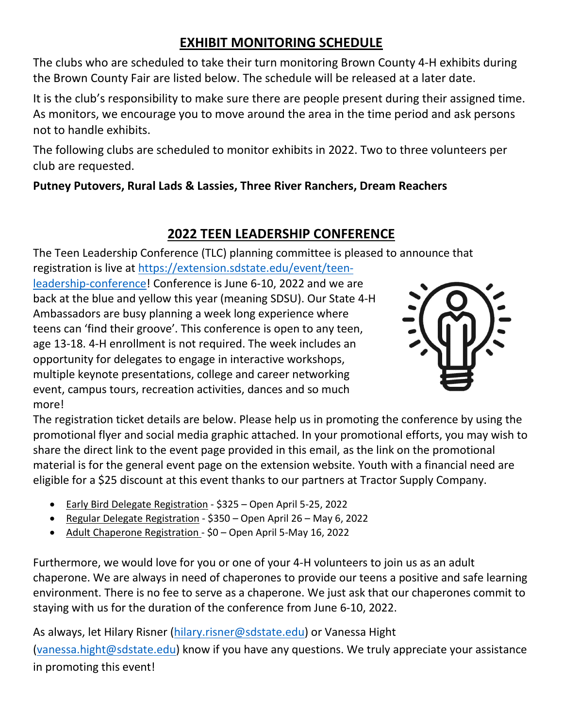## **EXHIBIT MONITORING SCHEDULE**

The clubs who are scheduled to take their turn monitoring Brown County 4-H exhibits during the Brown County Fair are listed below. The schedule will be released at a later date.

It is the club's responsibility to make sure there are people present during their assigned time. As monitors, we encourage you to move around the area in the time period and ask persons not to handle exhibits.

The following clubs are scheduled to monitor exhibits in 2022. Two to three volunteers per club are requested.

#### **Putney Putovers, Rural Lads & Lassies, Three River Ranchers, Dream Reachers**

### **2022 TEEN LEADERSHIP CONFERENCE**

The Teen Leadership Conference (TLC) planning committee is pleased to announce that registration is live at [https://extension.sdstate.edu/event/teen-](https://extension.sdstate.edu/event/teen-leadership-conference)

[leadership-conference!](https://extension.sdstate.edu/event/teen-leadership-conference) Conference is June 6-10, 2022 and we are back at the blue and yellow this year (meaning SDSU). Our State 4-H Ambassadors are busy planning a week long experience where teens can 'find their groove'. This conference is open to any teen, age 13-18. 4-H enrollment is not required. The week includes an opportunity for delegates to engage in interactive workshops, multiple keynote presentations, college and career networking event, campus tours, recreation activities, dances and so much more!



The registration ticket details are below. Please help us in promoting the conference by using the promotional flyer and social media graphic attached. In your promotional efforts, you may wish to share the direct link to the event page provided in this email, as the link on the promotional material is for the general event page on the extension website. Youth with a financial need are eligible for a \$25 discount at this event thanks to our partners at Tractor Supply Company.

- Early Bird Delegate Registration \$325 Open April 5-25, 2022
- Regular Delegate Registration \$350 Open April 26 May 6, 2022
- Adult Chaperone Registration \$0 Open April 5-May 16, 2022

Furthermore, we would love for you or one of your 4-H volunteers to join us as an adult chaperone. We are always in need of chaperones to provide our teens a positive and safe learning environment. There is no fee to serve as a chaperone. We just ask that our chaperones commit to staying with us for the duration of the conference from June 6-10, 2022.

As always, let Hilary Risner [\(hilary.risner@sdstate.edu\)](mailto:hilary.risner@sdstate.edu) or Vanessa Hight [\(vanessa.hight@sdstate.edu\)](mailto:vanessa.hight@sdstate.edu) know if you have any questions. We truly appreciate your assistance in promoting this event!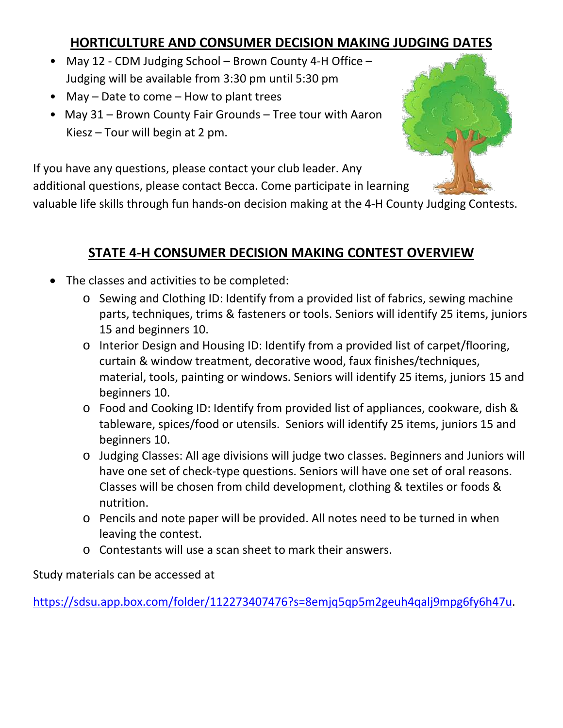## **HORTICULTURE AND CONSUMER DECISION MAKING JUDGING DATES**

- May 12 CDM Judging School Brown County 4-H Office Judging will be available from 3:30 pm until 5:30 pm
- May Date to come How to plant trees
- May 31 Brown County Fair Grounds Tree tour with Aaron Kiesz – Tour will begin at 2 pm.



If you have any questions, please contact your club leader. Any

additional questions, please contact Becca. Come participate in learning

valuable life skills through fun hands-on decision making at the 4-H County Judging Contests.

## **STATE 4-H CONSUMER DECISION MAKING CONTEST OVERVIEW**

- The classes and activities to be completed:
	- o Sewing and Clothing ID: Identify from a provided list of fabrics, sewing machine parts, techniques, trims & fasteners or tools. Seniors will identify 25 items, juniors 15 and beginners 10.
	- o Interior Design and Housing ID: Identify from a provided list of carpet/flooring, curtain & window treatment, decorative wood, faux finishes/techniques, material, tools, painting or windows. Seniors will identify 25 items, juniors 15 and beginners 10.
	- o Food and Cooking ID: Identify from provided list of appliances, cookware, dish & tableware, spices/food or utensils. Seniors will identify 25 items, juniors 15 and beginners 10.
	- o Judging Classes: All age divisions will judge two classes. Beginners and Juniors will have one set of check-type questions. Seniors will have one set of oral reasons. Classes will be chosen from child development, clothing & textiles or foods & nutrition.
	- o Pencils and note paper will be provided. All notes need to be turned in when leaving the contest.
	- o Contestants will use a scan sheet to mark their answers.

Study materials can be accessed at

[https://sdsu.app.box.com/folder/112273407476?s=8emjq5qp5m2geuh4qalj9mpg6fy6h47u.](https://sdsu.app.box.com/folder/112273407476?s=8emjq5qp5m2geuh4qalj9mpg6fy6h47u)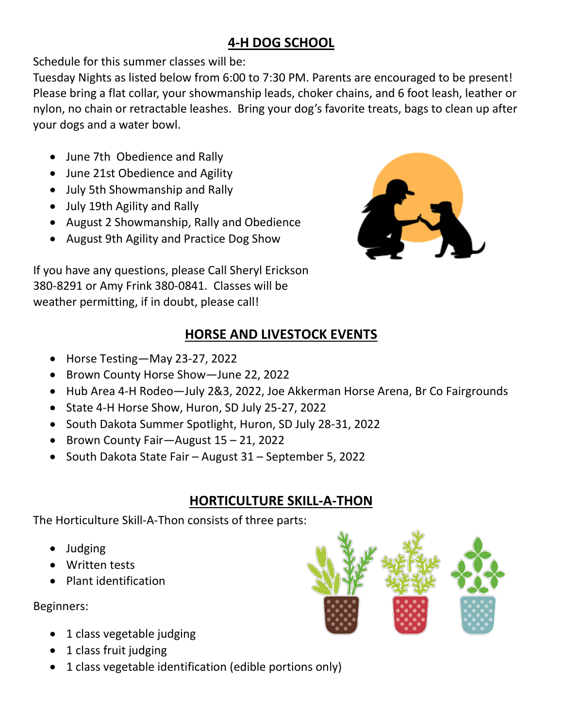## **4-H DOG SCHOOL**

Schedule for this summer classes will be:

Tuesday Nights as listed below from 6:00 to 7:30 PM. Parents are encouraged to be present! Please bring a flat collar, your showmanship leads, choker chains, and 6 foot leash, leather or nylon, no chain or retractable leashes. Bring your dog's favorite treats, bags to clean up after your dogs and a water bowl.

- June 7th Obedience and Rally
- June 21st Obedience and Agility
- July 5th Showmanship and Rally
- July 19th Agility and Rally
- August 2 Showmanship, Rally and Obedience
- August 9th Agility and Practice Dog Show



If you have any questions, please Call Sheryl Erickson 380-8291 or Amy Frink 380-0841. Classes will be weather permitting, if in doubt, please call!

## **HORSE AND LIVESTOCK EVENTS**

- Horse Testing—May 23-27, 2022
- Brown County Horse Show—June 22, 2022
- Hub Area 4-H Rodeo—July 2&3, 2022, Joe Akkerman Horse Arena, Br Co Fairgrounds
- State 4-H Horse Show, Huron, SD July 25-27, 2022
- South Dakota Summer Spotlight, Huron, SD July 28-31, 2022
- Brown County Fair—August 15 21, 2022
- South Dakota State Fair August 31 September 5, 2022

## **HORTICULTURE SKILL-A-THON**

The Horticulture Skill-A-Thon consists of three parts:

- Judging
- Written tests
- Plant identification

Beginners:

- 1 class vegetable judging
- 1 class fruit judging
- 1 class vegetable identification (edible portions only)

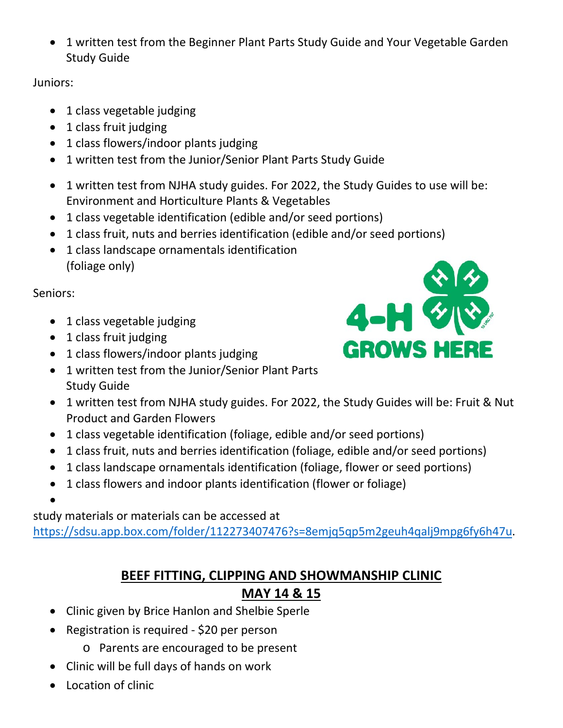• 1 written test from the Beginner Plant Parts Study Guide and Your Vegetable Garden Study Guide

Juniors:

- 1 class vegetable judging
- 1 class fruit judging
- 1 class flowers/indoor plants judging
- 1 written test from the Junior/Senior Plant Parts Study Guide
- 1 written test from NJHA study guides. For 2022, the Study Guides to use will be: Environment and Horticulture Plants & Vegetables
- 1 class vegetable identification (edible and/or seed portions)
- 1 class fruit, nuts and berries identification (edible and/or seed portions)
- 1 class landscape ornamentals identification (foliage only)

Seniors:

- 1 class vegetable judging
- 1 class fruit judging
- 1 class flowers/indoor plants judging
- 1 written test from the Junior/Senior Plant Parts Study Guide
- 1 written test from NJHA study guides. For 2022, the Study Guides will be: Fruit & Nut Product and Garden Flowers
- 1 class vegetable identification (foliage, edible and/or seed portions)
- 1 class fruit, nuts and berries identification (foliage, edible and/or seed portions)
- 1 class landscape ornamentals identification (foliage, flower or seed portions)
- 1 class flowers and indoor plants identification (flower or foliage)
- •

study materials or materials can be accessed at

[https://sdsu.app.box.com/folder/112273407476?s=8emjq5qp5m2geuh4qalj9mpg6fy6h47u.](https://sdsu.app.box.com/folder/112273407476?s=8emjq5qp5m2geuh4qalj9mpg6fy6h47u)

## **BEEF FITTING, CLIPPING AND SHOWMANSHIP CLINIC**

## **MAY 14 & 15**

- Clinic given by Brice Hanlon and Shelbie Sperle
- Registration is required \$20 per person
	- o Parents are encouraged to be present
- Clinic will be full days of hands on work
- Location of clinic

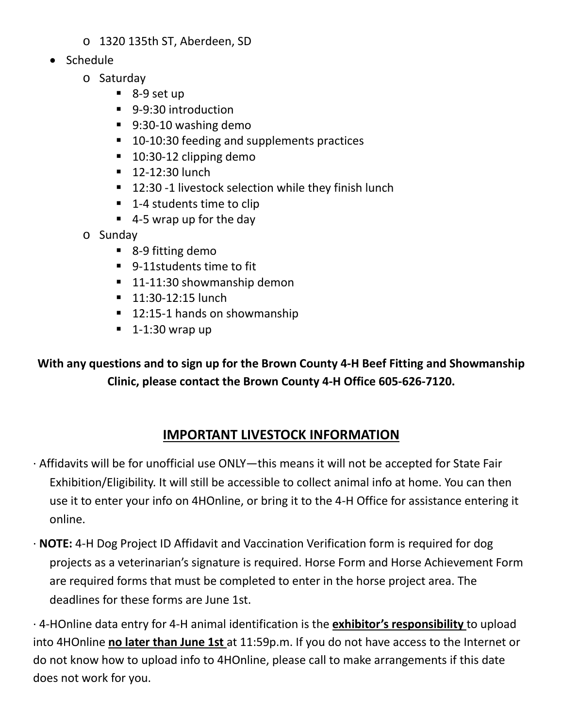- o 1320 135th ST, Aberdeen, SD
- Schedule
	- o Saturday
		- 8-9 set up
		- 9-9:30 introduction
		- 9:30-10 washing demo
		- 10-10:30 feeding and supplements practices
		- 10:30-12 clipping demo
		- 12-12:30 lunch
		- 12:30 -1 livestock selection while they finish lunch
		- 1-4 students time to clip
		- 4-5 wrap up for the day
	- o Sunday
		- 8-9 fitting demo
		- 9-11students time to fit
		- 11-11:30 showmanship demon
		- 11:30-12:15 lunch
		- 12:15-1 hands on showmanship
		- $\blacksquare$  1-1:30 wrap up

**With any questions and to sign up for the Brown County 4-H Beef Fitting and Showmanship Clinic, please contact the Brown County 4-H Office 605-626-7120.**

## **IMPORTANT LIVESTOCK INFORMATION**

- · Affidavits will be for unofficial use ONLY—this means it will not be accepted for State Fair Exhibition/Eligibility. It will still be accessible to collect animal info at home. You can then use it to enter your info on 4HOnline, or bring it to the 4-H Office for assistance entering it online.
- · **NOTE:** 4-H Dog Project ID Affidavit and Vaccination Verification form is required for dog projects as a veterinarian's signature is required. Horse Form and Horse Achievement Form are required forms that must be completed to enter in the horse project area. The deadlines for these forms are June 1st.

· 4-HOnline data entry for 4-H animal identification is the **exhibitor's responsibility** to upload into 4HOnline **no later than June 1st** at 11:59p.m. If you do not have access to the Internet or do not know how to upload info to 4HOnline, please call to make arrangements if this date does not work for you.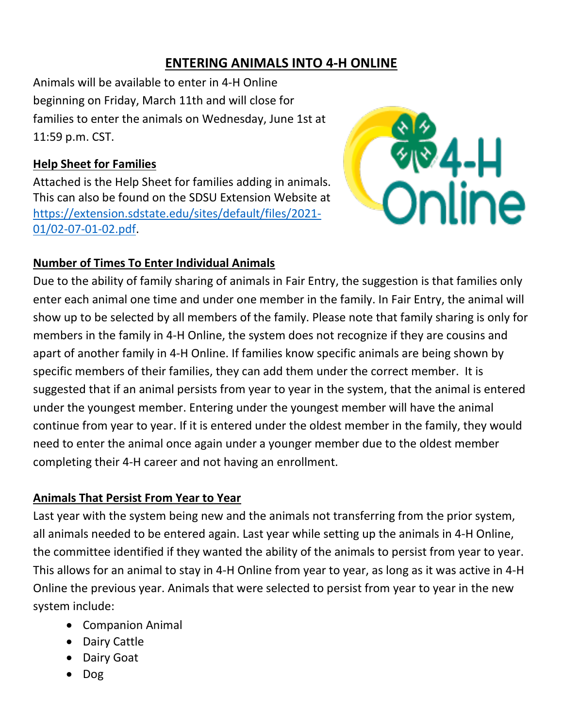### **ENTERING ANIMALS INTO 4-H ONLINE**

Animals will be available to enter in 4-H Online beginning on Friday, March 11th and will close for families to enter the animals on Wednesday, June 1st at 11:59 p.m. CST.

#### **Help Sheet for Families**

Attached is the Help Sheet for families adding in animals. This can also be found on the SDSU Extension Website at [https://extension.sdstate.edu/sites/default/files/2021-](https://extension.sdstate.edu/sites/default/files/2021-01/02-07-01-02.pdf) [01/02-07-01-02.pdf.](https://extension.sdstate.edu/sites/default/files/2021-01/02-07-01-02.pdf)



#### **Number of Times To Enter Individual Animals**

Due to the ability of family sharing of animals in Fair Entry, the suggestion is that families only enter each animal one time and under one member in the family. In Fair Entry, the animal will show up to be selected by all members of the family. Please note that family sharing is only for members in the family in 4-H Online, the system does not recognize if they are cousins and apart of another family in 4-H Online. If families know specific animals are being shown by specific members of their families, they can add them under the correct member. It is suggested that if an animal persists from year to year in the system, that the animal is entered under the youngest member. Entering under the youngest member will have the animal continue from year to year. If it is entered under the oldest member in the family, they would need to enter the animal once again under a younger member due to the oldest member completing their 4-H career and not having an enrollment.

#### **Animals That Persist From Year to Year**

Last year with the system being new and the animals not transferring from the prior system, all animals needed to be entered again. Last year while setting up the animals in 4-H Online, the committee identified if they wanted the ability of the animals to persist from year to year. This allows for an animal to stay in 4-H Online from year to year, as long as it was active in 4-H Online the previous year. Animals that were selected to persist from year to year in the new system include:

- Companion Animal
- Dairy Cattle
- Dairy Goat
- Dog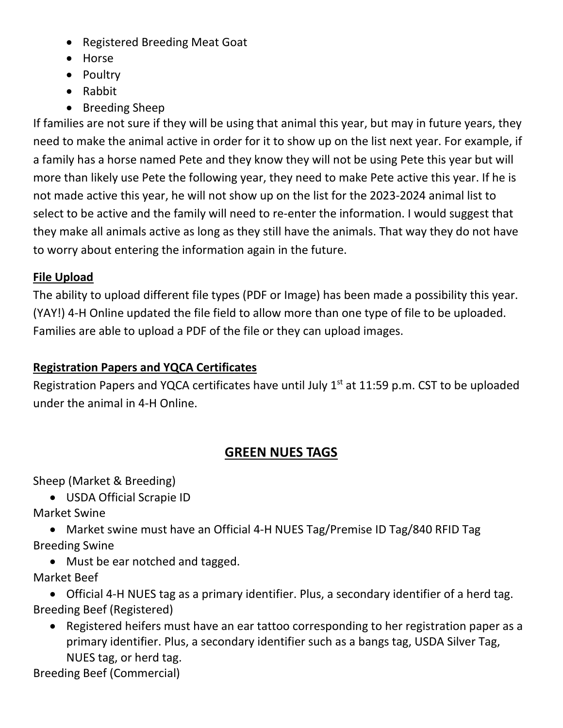- Registered Breeding Meat Goat
- Horse
- Poultry
- Rabbit
- Breeding Sheep

If families are not sure if they will be using that animal this year, but may in future years, they need to make the animal active in order for it to show up on the list next year. For example, if a family has a horse named Pete and they know they will not be using Pete this year but will more than likely use Pete the following year, they need to make Pete active this year. If he is not made active this year, he will not show up on the list for the 2023-2024 animal list to select to be active and the family will need to re-enter the information. I would suggest that they make all animals active as long as they still have the animals. That way they do not have to worry about entering the information again in the future.

#### **File Upload**

The ability to upload different file types (PDF or Image) has been made a possibility this year. (YAY!) 4-H Online updated the file field to allow more than one type of file to be uploaded. Families are able to upload a PDF of the file or they can upload images.

#### **Registration Papers and YQCA Certificates**

Registration Papers and YQCA certificates have until July  $1<sup>st</sup>$  at 11:59 p.m. CST to be uploaded under the animal in 4-H Online.

### **GREEN NUES TAGS**

Sheep (Market & Breeding)

• USDA Official Scrapie ID

Market Swine

• Market swine must have an Official 4-H NUES Tag/Premise ID Tag/840 RFID Tag Breeding Swine

• Must be ear notched and tagged.

Market Beef

• Official 4-H NUES tag as a primary identifier. Plus, a secondary identifier of a herd tag. Breeding Beef (Registered)

• Registered heifers must have an ear tattoo corresponding to her registration paper as a primary identifier. Plus, a secondary identifier such as a bangs tag, USDA Silver Tag, NUES tag, or herd tag.

Breeding Beef (Commercial)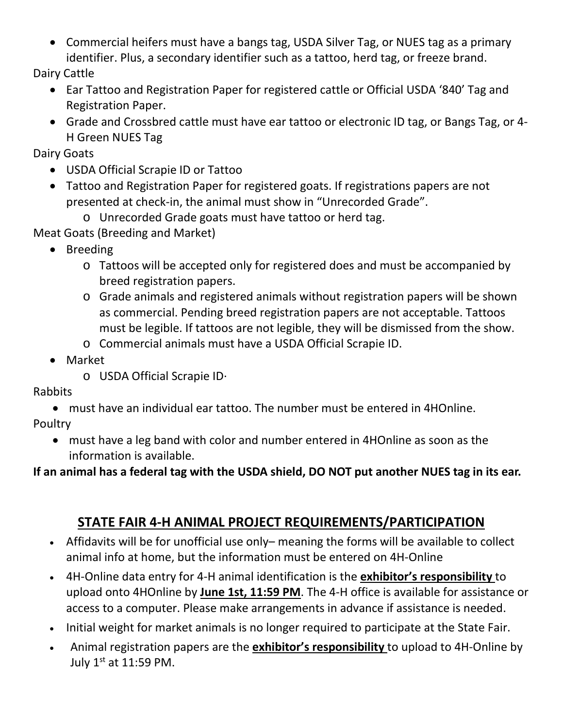• Commercial heifers must have a bangs tag, USDA Silver Tag, or NUES tag as a primary identifier. Plus, a secondary identifier such as a tattoo, herd tag, or freeze brand.

Dairy Cattle

- Ear Tattoo and Registration Paper for registered cattle or Official USDA '840' Tag and Registration Paper.
- Grade and Crossbred cattle must have ear tattoo or electronic ID tag, or Bangs Tag, or 4- H Green NUES Tag

Dairy Goats

- USDA Official Scrapie ID or Tattoo
- Tattoo and Registration Paper for registered goats. If registrations papers are not presented at check-in, the animal must show in "Unrecorded Grade".
	- o Unrecorded Grade goats must have tattoo or herd tag.

Meat Goats (Breeding and Market)

- Breeding
	- o Tattoos will be accepted only for registered does and must be accompanied by breed registration papers.
	- o Grade animals and registered animals without registration papers will be shown as commercial. Pending breed registration papers are not acceptable. Tattoos must be legible. If tattoos are not legible, they will be dismissed from the show.
	- o Commercial animals must have a USDA Official Scrapie ID.
- Market
	- o USDA Official Scrapie ID·

Rabbits

• must have an individual ear tattoo. The number must be entered in 4HOnline.

Poultry

• must have a leg band with color and number entered in 4HOnline as soon as the information is available.

**If an animal has a federal tag with the USDA shield, DO NOT put another NUES tag in its ear.** 

## **STATE FAIR 4-H ANIMAL PROJECT REQUIREMENTS/PARTICIPATION**

- Affidavits will be for unofficial use only– meaning the forms will be available to collect animal info at home, but the information must be entered on 4H-Online
- 4H-Online data entry for 4-H animal identification is the **exhibitor's responsibility** to upload onto 4HOnline by **June 1st, 11:59 PM**. The 4-H office is available for assistance or access to a computer. Please make arrangements in advance if assistance is needed.
- Initial weight for market animals is no longer required to participate at the State Fair.
- Animal registration papers are the **exhibitor's responsibility** to upload to 4H-Online by July 1st at 11:59 PM.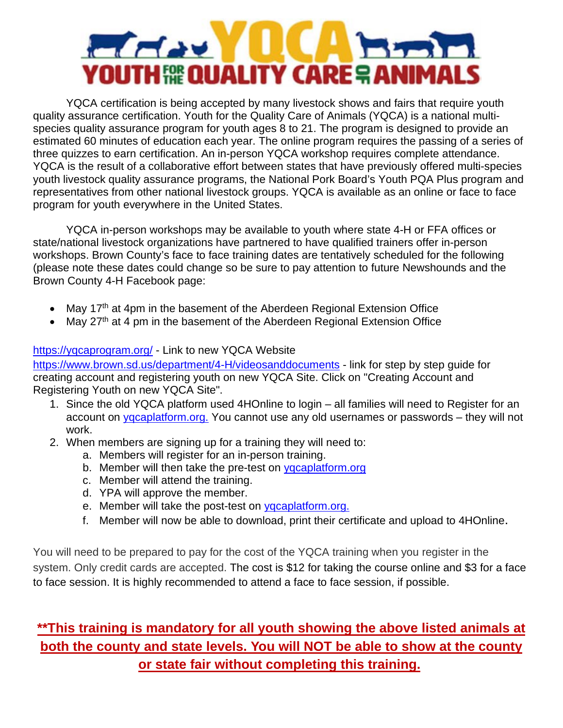## $H = 1$ YOUTH 50E QUALITY CARE ? ANIM

YQCA certification is being accepted by many livestock shows and fairs that require youth quality assurance certification. Youth for the Quality Care of Animals (YQCA) is a national multispecies quality assurance program for youth ages 8 to 21. The program is designed to provide an estimated 60 minutes of education each year. The online program requires the passing of a series of three quizzes to earn certification. An in-person YQCA workshop requires complete attendance. YQCA is the result of a collaborative effort between states that have previously offered multi-species youth livestock quality assurance programs, the National Pork Board's Youth PQA Plus program and representatives from other national livestock groups. YQCA is available as an online or face to face program for youth everywhere in the United States.

YQCA in-person workshops may be available to youth where state 4-H or FFA offices or state/national livestock organizations have partnered to have qualified trainers offer in-person workshops. Brown County's face to face training dates are tentatively scheduled for the following (please note these dates could change so be sure to pay attention to future Newshounds and the Brown County 4-H Facebook page:

- May 17<sup>th</sup> at 4pm in the basement of the Aberdeen Regional Extension Office
- May  $27<sup>th</sup>$  at 4 pm in the basement of the Aberdeen Regional Extension Office

#### [https://yqcaprogram.org/](https://yqcaprogram.org/?fbclid=IwAR1ciADFNHq2Au_p5RzY9vm8vAsh81NIvn0fvr3AGgGfaRI_Qk7TxYuZCWE) - Link to new YQCA Website

[https://www.brown.sd.us/department/4-H/videosanddocuments](https://www.brown.sd.us/department/4-H/videosanddocuments?fbclid=IwAR2tXK5AU1Wwi2Qv0dhs-ATCIl453eDSz_D8Nc0EnEnuDPU39-bBMIC_mQg) - link for step by step guide for creating account and registering youth on new YQCA Site. Click on "Creating Account and Registering Youth on new YQCA Site".

- 1. Since the old YQCA platform used 4HOnline to login all families will need to Register for an account on [yqcaplatform.org.](https://l.facebook.com/l.php?u=http%3A%2F%2Fyqcaplatform.org%2F%3Ffbclid%3DIwAR1qx21x8kvxywFqfQqyhXz9FB9yRYg50ZMTMSUBJkTj_iFmNwRhrIsi8Ng&h=AT1gXr4CCjt0SFOpHflV4Xs111Z9TwTrcRxChH1-HtPwBJ7WpsRWmMqRjzPVswUx7gVwaxqsjgbdECHpdFKbpLKMBJaR1l63_rZpu33YYkVhlrbkpjV0kSKz3aQ1wy-I&__tn__=-UK-R&c%5b0%5d=AT0_soGyLsLvjSuJi8SgD0DR-0mmXzT3SVpGp3kSB-UurgZz58QsUt6ksRLL7mKPDhMUPuBjL0C93Py3yHUV96nuZI3HkBn0vutQA8T-IrwtmIwgeG6zumB4cAYVK3-mwDB7nbOsKbRf4ajPcpnhOp1AO-ALFVeSTMRQ0ZJYpIt6Cw) You cannot use any old usernames or passwords – they will not work.
- 2. When members are signing up for a training they will need to:
	- a. Members will register for an in-person training.
	- b. Member will then take the pre-test on [yqcaplatform.org](http://yqcaplatform.org/?fbclid=IwAR1JInrLuOYsBsbU9f8J3b1jOMS4kQ3toJ0QFj1seZrx9jqXVBEj_OxJtQg)
	- c. Member will attend the training.
	- d. YPA will approve the member.
	- e. Member will take the post-test on [yqcaplatform.org.](https://l.facebook.com/l.php?u=http%3A%2F%2Fyqcaplatform.org%2F%3Ffbclid%3DIwAR0Ih1VNU_Ys6Qij0KO-kvT0FmafVvM1e9qlmaHOheGRfTP14YAO1DMwe9A&h=AT1gXr4CCjt0SFOpHflV4Xs111Z9TwTrcRxChH1-HtPwBJ7WpsRWmMqRjzPVswUx7gVwaxqsjgbdECHpdFKbpLKMBJaR1l63_rZpu33YYkVhlrbkpjV0kSKz3aQ1wy-I&__tn__=-UK-R&c%5b0%5d=AT0_soGyLsLvjSuJi8SgD0DR-0mmXzT3SVpGp3kSB-UurgZz58QsUt6ksRLL7mKPDhMUPuBjL0C93Py3yHUV96nuZI3HkBn0vutQA8T-IrwtmIwgeG6zumB4cAYVK3-mwDB7nbOsKbRf4ajPcpnhOp1AO-ALFVeSTMRQ0ZJYpIt6Cw)
	- f. Member will now be able to download, print their certificate and upload to 4HOnline.

You will need to be prepared to pay for the cost of the YQCA training when you register in the system. Only credit cards are accepted. The cost is \$12 for taking the course online and \$3 for a face to face session. It is highly recommended to attend a face to face session, if possible.

## **\*\*This training is mandatory for all youth showing the above listed animals at both the county and state levels. You will NOT be able to show at the county or state fair without completing this training.**